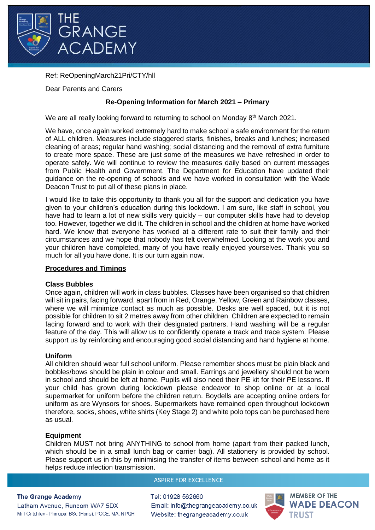

## Ref: ReOpeningMarch21Pri/CTY/hll

Dear Parents and Carers

# **Re-Opening Information for March 2021 – Primary**

We are all really looking forward to returning to school on Monday 8<sup>th</sup> March 2021.

We have, once again worked extremely hard to make school a safe environment for the return of ALL children. Measures include staggered starts, finishes, breaks and lunches; increased cleaning of areas; regular hand washing; social distancing and the removal of extra furniture to create more space. These are just some of the measures we have refreshed in order to operate safely. We will continue to review the measures daily based on current messages from Public Health and Government. The Department for Education have updated their guidance on the re-opening of schools and we have worked in consultation with the Wade Deacon Trust to put all of these plans in place.

I would like to take this opportunity to thank you all for the support and dedication you have given to your children's education during this lockdown. I am sure, like staff in school, you have had to learn a lot of new skills very quickly – our computer skills have had to develop too. However, together we did it. The children in school and the children at home have worked hard. We know that everyone has worked at a different rate to suit their family and their circumstances and we hope that nobody has felt overwhelmed. Looking at the work you and your children have completed, many of you have really enjoyed yourselves. Thank you so much for all you have done. It is our turn again now.

## **Procedures and Timings**

### **Class Bubbles**

Once again, children will work in class bubbles. Classes have been organised so that children will sit in pairs, facing forward, apart from in Red, Orange, Yellow, Green and Rainbow classes, where we will minimize contact as much as possible. Desks are well spaced, but it is not possible for children to sit 2 metres away from other children. Children are expected to remain facing forward and to work with their designated partners. Hand washing will be a regular feature of the day. This will allow us to confidently operate a track and trace system. Please support us by reinforcing and encouraging good social distancing and hand hygiene at home.

## **Uniform**

All children should wear full school uniform. Please remember shoes must be plain black and bobbles/bows should be plain in colour and small. Earrings and jewellery should not be worn in school and should be left at home. Pupils will also need their PE kit for their PE lessons. If your child has grown during lockdown please endeavor to shop online or at a local supermarket for uniform before the children return. Boydells are accepting online orders for uniform as are Wynsors for shoes. Supermarkets have remained open throughout lockdown therefore, socks, shoes, white shirts (Key Stage 2) and white polo tops can be purchased here as usual.

## **Equipment**

Children MUST not bring ANYTHING to school from home (apart from their packed lunch, which should be in a small lunch bag or carrier bag). All stationery is provided by school. Please support us in this by minimising the transfer of items between school and home as it helps reduce infection transmission.

### **ASPIRE FOR EXCELLENCE**

### **The Grange Academy**

Latham Avenue, Runcom WA7 5DX Mr I Critchley - Principal BSc (Hons), PGCE, MA, NPQH Tel: 01928 562660 Email: info@thegrangeacademy.co.uk Website: thegrangeacademy.co.uk

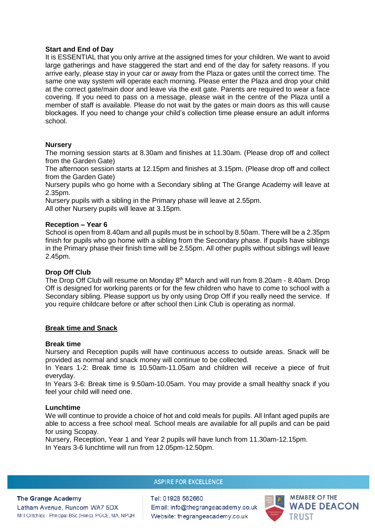### **Start and End of Day**

It is ESSENTIAL that you only arrive at the assigned times for your children. We want to avoid large gatherings and have staggered the start and end of the day for safety reasons. If you arrive early, please stay in your car or away from the Plaza or gates until the correct time. The same one way system will operate each morning. Please enter the Plaza and drop your child at the correct gate/main door and leave via the exit gate. Parents are required to wear a face covering. If you need to pass on a message, please wait in the centre of the Plaza until a member of staff is available. Please do not wait by the gates or main doors as this will cause blockages. If you need to change your child's collection time please ensure an adult informs school.

### **Nursery**

The morning session starts at 8.30am and finishes at 11.30am. (Please drop off and collect from the Garden Gate)

The afternoon session starts at 12.15pm and finishes at 3.15pm. (Please drop off and collect from the Garden Gate)

Nursery pupils who go home with a Secondary sibling at The Grange Academy will leave at 2.35pm.

Nursery pupils with a sibling in the Primary phase will leave at 2.55pm.

All other Nursery pupils will leave at 3.15pm.

### **Reception – Year 6**

School is open from 8.40am and all pupils must be in school by 8.50am. There will be a 2.35pm finish for pupils who go home with a sibling from the Secondary phase. If pupils have siblings in the Primary phase their finish time will be 2.55pm. All other pupils without siblings will leave 2.45pm.

## **Drop Off Club**

The Drop Off Club will resume on Monday  $8<sup>th</sup>$  March and will run from 8.20am - 8.40am. Drop Off is designed for working parents or for the few children who have to come to school with a Secondary sibling. Please support us by only using Drop Off if you really need the service. If you require childcare before or after school then Link Club is operating as normal.

## **Break time and Snack**

### **Break time**

Nursery and Reception pupils will have continuous access to outside areas. Snack will be provided as normal and snack money will continue to be collected.

In Years 1-2: Break time is 10.50am-11.05am and children will receive a piece of fruit everyday.

In Years 3-6: Break time is 9.50am-10.05am. You may provide a small healthy snack if you feel your child will need one.

### **Lunchtime**

We will continue to provide a choice of hot and cold meals for pupils. All Infant aged pupils are able to access a free school meal. School meals are available for all pupils and can be paid for using Scopay.

Nursery, Reception, Year 1 and Year 2 pupils will have lunch from 11.30am-12.15pm. In Years 3-6 lunchtime will run from 12.05pm-12.50pm.

# **ASPIRE FOR EXCELLENCE**

### **The Grange Academy**

Latham Avenue, Runcom WA7 5DX Mr I Critchley - Principal BSc (Hons), PGCE, MA, NPQH Tel: 01928 562660 Email: info@thegrangeacademy.co.uk Website: thegrangeacademy.co.uk